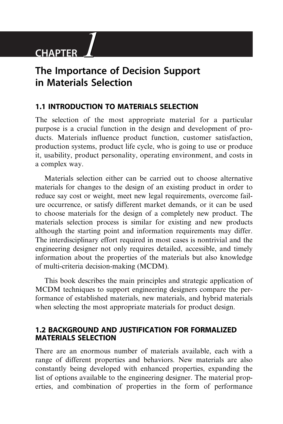# **CHAPTER**

## The Importance of Decision Support in Materials Selection

#### 1.1 INTRODUCTION TO MATERIALS SELECTION

The selection of the most appropriate material for a particular purpose is a crucial function in the design and development of products. Materials influence product function, customer satisfaction, production systems, product life cycle, who is going to use or produce it, usability, product personality, operating environment, and costs in a complex way.

Materials selection either can be carried out to choose alternative materials for changes to the design of an existing product in order to reduce say cost or weight, meet new legal requirements, overcome failure occurrence, or satisfy different market demands, or it can be used to choose materials for the design of a completely new product. The materials selection process is similar for existing and new products although the starting point and information requirements may differ. The interdisciplinary effort required in most cases is nontrivial and the engineering designer not only requires detailed, accessible, and timely information about the properties of the materials but also knowledge of multi-criteria decision-making (MCDM).

This book describes the main principles and strategic application of MCDM techniques to support engineering designers compare the performance of established materials, new materials, and hybrid materials when selecting the most appropriate materials for product design.

#### 1.2 BACKGROUND AND JUSTIFICATION FOR FORMALIZED MATERIALS SELECTION

There are an enormous number of materials available, each with a range of different properties and behaviors. New materials are also constantly being developed with enhanced properties, expanding the list of options available to the engineering designer. The material properties, and combination of properties in the form of performance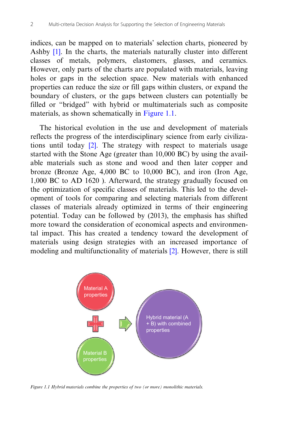indices, can be mapped on to materials' selection charts, pioneered by Ashby [\[1\]](#page-12-0). In the charts, the materials naturally cluster into different classes of metals, polymers, elastomers, glasses, and ceramics. However, only parts of the charts are populated with materials, leaving holes or gaps in the selection space. New materials with enhanced properties can reduce the size or fill gaps within clusters, or expand the boundary of clusters, or the gaps between clusters can potentially be filled or "bridged" with hybrid or multimaterials such as composite materials, as shown schematically in Figure 1.1.

The historical evolution in the use and development of materials reflects the progress of the interdisciplinary science from early civilizations until today [\[2\].](#page-12-0) The strategy with respect to materials usage started with the Stone Age (greater than 10,000 BC) by using the available materials such as stone and wood and then later copper and bronze (Bronze Age, 4,000 BC to 10,000 BC), and iron (Iron Age, 1,000 BC to AD 1620 ). Afterward, the strategy gradually focused on the optimization of specific classes of materials. This led to the development of tools for comparing and selecting materials from different classes of materials already optimized in terms of their engineering potential. Today can be followed by (2013), the emphasis has shifted more toward the consideration of economical aspects and environmental impact. This has created a tendency toward the development of materials using design strategies with an increased importance of modeling and multifunctionality of materials [\[2\]](#page-12-0). However, there is still



Figure 1.1 Hybrid materials combine the properties of two (or more) monolithic materials.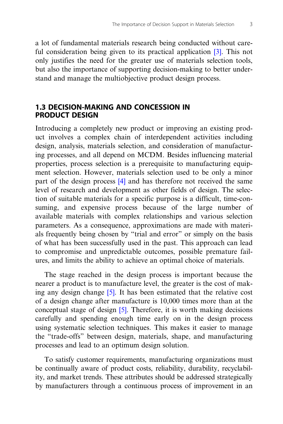#### The Importance of Decision Support in Materials Selection 3

a lot of fundamental materials research being conducted without careful consideration being given to its practical application [\[3\].](#page-13-0) This not only justifies the need for the greater use of materials selection tools, but also the importance of supporting decision-making to better understand and manage the multiobjective product design process.

#### 1.3 DECISION-MAKING AND CONCESSION IN PRODUCT DESIGN

Introducing a completely new product or improving an existing product involves a complex chain of interdependent activities including design, analysis, materials selection, and consideration of manufacturing processes, and all depend on MCDM. Besides influencing material properties, process selection is a prerequisite to manufacturing equipment selection. However, materials selection used to be only a minor part of the design process [\[4\]](#page-13-0) and has therefore not received the same level of research and development as other fields of design. The selection of suitable materials for a specific purpose is a difficult, time-consuming, and expensive process because of the large number of available materials with complex relationships and various selection parameters. As a consequence, approximations are made with materials frequently being chosen by "trial and error" or simply on the basis of what has been successfully used in the past. This approach can lead to compromise and unpredictable outcomes, possible premature failures, and limits the ability to achieve an optimal choice of materials.

The stage reached in the design process is important because the nearer a product is to manufacture level, the greater is the cost of making any design change [\[5\].](#page-13-0) It has been estimated that the relative cost of a design change after manufacture is 10,000 times more than at the conceptual stage of design [\[5\]](#page-13-0). Therefore, it is worth making decisions carefully and spending enough time early on in the design process using systematic selection techniques. This makes it easier to manage the "trade-offs" between design, materials, shape, and manufacturing processes and lead to an optimum design solution.

To satisfy customer requirements, manufacturing organizations must be continually aware of product costs, reliability, durability, recyclability, and market trends. These attributes should be addressed strategically by manufacturers through a continuous process of improvement in an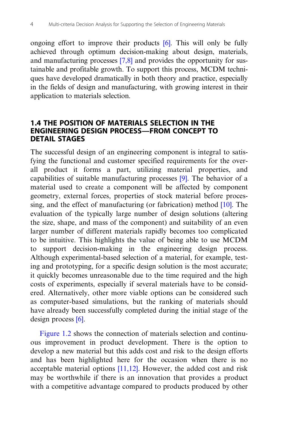ongoing effort to improve their products [\[6\].](#page-13-0) This will only be fully achieved through optimum decision-making about design, materials, and manufacturing processes [\[7,8\]](#page-13-0) and provides the opportunity for sustainable and profitable growth. To support this process, MCDM techniques have developed dramatically in both theory and practice, especially in the fields of design and manufacturing, with growing interest in their application to materials selection.

#### 1.4 THE POSITION OF MATERIALS SELECTION IN THE ENGINEERING DESIGN PROCESS—FROM CONCEPT TO DETAIL STAGES

The successful design of an engineering component is integral to satisfying the functional and customer specified requirements for the overall product it forms a part, utilizing material properties, and capabilities of suitable manufacturing processes [\[9\].](#page-13-0) The behavior of a material used to create a component will be affected by component geometry, external forces, properties of stock material before processing, and the effect of manufacturing (or fabrication) method [\[10\].](#page-13-0) The evaluation of the typically large number of design solutions (altering the size, shape, and mass of the component) and suitability of an even larger number of different materials rapidly becomes too complicated to be intuitive. This highlights the value of being able to use MCDM to support decision-making in the engineering design process. Although experimental-based selection of a material, for example, testing and prototyping, for a specific design solution is the most accurate; it quickly becomes unreasonable due to the time required and the high costs of experiments, especially if several materials have to be considered. Alternatively, other more viable options can be considered such as computer-based simulations, but the ranking of materials should have already been successfully completed during the initial stage of the design process [\[6\]](#page-13-0).

[Figure 1.2](#page-4-0) shows the connection of materials selection and continuous improvement in product development. There is the option to develop a new material but this adds cost and risk to the design efforts and has been highlighted here for the occasion when there is no acceptable material options [\[11,12\].](#page-13-0) However, the added cost and risk may be worthwhile if there is an innovation that provides a product with a competitive advantage compared to products produced by other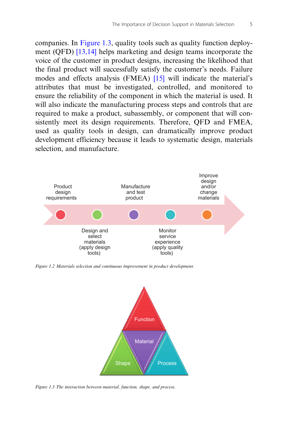<span id="page-4-0"></span>companies. In Figure 1.3, quality tools such as quality function deployment (QFD) [\[13,14\]](#page-13-0) helps marketing and design teams incorporate the voice of the customer in product designs, increasing the likelihood that the final product will successfully satisfy the customer's needs. Failure modes and effects analysis (FMEA) [\[15\]](#page-13-0) will indicate the material's attributes that must be investigated, controlled, and monitored to ensure the reliability of the component in which the material is used. It will also indicate the manufacturing process steps and controls that are required to make a product, subassembly, or component that will consistently meet its design requirements. Therefore, QFD and FMEA, used as quality tools in design, can dramatically improve product development efficiency because it leads to systematic design, materials selection, and manufacture.



Figure 1.2 Materials selection and continuous improvement in product development.



Figure 1.3 The interaction between material, function, shape, and process.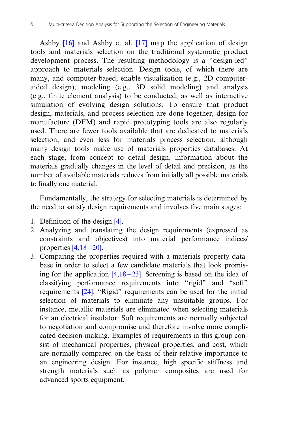Ashby [\[16\]](#page-13-0) and Ashby et al. [\[17\]](#page-13-0) map the application of design tools and materials selection on the traditional systematic product development process. The resulting methodology is a "design-led" approach to materials selection. Design tools, of which there are many, and computer-based, enable visualization (e.g., 2D computeraided design), modeling (e.g., 3D solid modeling) and analysis (e.g., finite element analysis) to be conducted, as well as interactive simulation of evolving design solutions. To ensure that product design, materials, and process selection are done together, design for manufacture (DFM) and rapid prototyping tools are also regularly used. There are fewer tools available that are dedicated to materials selection, and even less for materials process selection, although many design tools make use of materials properties databases. At each stage, from concept to detail design, information about the materials gradually changes in the level of detail and precision, as the number of available materials reduces from initially all possible materials to finally one material.

Fundamentally, the strategy for selecting materials is determined by the need to satisfy design requirements and involves five main stages:

- 1. Definition of the design [\[4\].](#page-13-0)
- 2. Analyzing and translating the design requirements (expressed as constraints and objectives) into material performance indices/ properties  $[4,18-20]$  $[4,18-20]$ .
- 3. Comparing the properties required with a materials property database in order to select a few candidate materials that look promising for the application  $[4,18-23]$  $[4,18-23]$  $[4,18-23]$ . Screening is based on the idea of classifying performance requirements into "rigid" and "soft" requirements [\[24\].](#page-13-0) "Rigid" requirements can be used for the initial selection of materials to eliminate any unsuitable groups. For instance, metallic materials are eliminated when selecting materials for an electrical insulator. Soft requirements are normally subjected to negotiation and compromise and therefore involve more complicated decision-making. Examples of requirements in this group consist of mechanical properties, physical properties, and cost, which are normally compared on the basis of their relative importance to an engineering design. For instance, high specific stiffness and strength materials such as polymer composites are used for advanced sports equipment.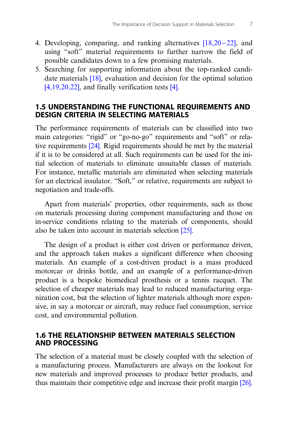- 4. Developing, comparing, and ranking alternatives  $[18,20-22]$  $[18,20-22]$ , and using "soft" material requirements to further narrow the field of possible candidates down to a few promising materials.
- 5. Searching for supporting information about the top-ranked candidate materials [\[18\],](#page-13-0) evaluation and decision for the optimal solution  $[4,19,20,22]$ , and finally verification tests  $[4]$ .

#### 1.5 UNDERSTANDING THE FUNCTIONAL REQUIREMENTS AND DESIGN CRITERIA IN SELECTING MATERIALS

The performance requirements of materials can be classified into two main categories: "rigid" or "go-no-go" requirements and "soft" or relative requirements [\[24\].](#page-13-0) Rigid requirements should be met by the material if it is to be considered at all. Such requirements can be used for the initial selection of materials to eliminate unsuitable classes of materials. For instance, metallic materials are eliminated when selecting materials for an electrical insulator. "Soft," or relative, requirements are subject to negotiation and trade-offs.

Apart from materials' properties, other requirements, such as those on materials processing during component manufacturing and those on in-service conditions relating to the materials of components, should also be taken into account in materials selection [\[25\].](#page-14-0)

The design of a product is either cost driven or performance driven, and the approach taken makes a significant difference when choosing materials. An example of a cost-driven product is a mass produced motorcar or drinks bottle, and an example of a performance-driven product is a bespoke biomedical prosthesis or a tennis racquet. The selection of cheaper materials may lead to reduced manufacturing organization cost, but the selection of lighter materials although more expensive, in say a motorcar or aircraft, may reduce fuel consumption, service cost, and environmental pollution.

#### 1.6 THE RELATIONSHIP BETWEEN MATERIALS SELECTION AND PROCESSING

The selection of a material must be closely coupled with the selection of a manufacturing process. Manufacturers are always on the lookout for new materials and improved processes to produce better products, and thus maintain their competitive edge and increase their profit margin [\[26\].](#page-14-0)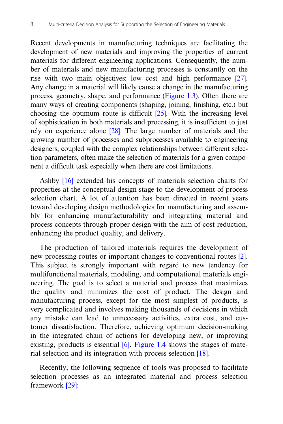Recent developments in manufacturing techniques are facilitating the development of new materials and improving the properties of current materials for different engineering applications. Consequently, the number of materials and new manufacturing processes is constantly on the rise with two main objectives: low cost and high performance [\[27\]](#page-14-0). Any change in a material will likely cause a change in the manufacturing process, geometry, shape, and performance [\(Figure 1.3](#page-4-0)). Often there are many ways of creating components (shaping, joining, finishing, etc.) but choosing the optimum route is difficult [\[25\]](#page-14-0). With the increasing level of sophistication in both materials and processing, it is insufficient to just rely on experience alone [\[28\]](#page-14-0). The large number of materials and the growing number of processes and subprocesses available to engineering designers, coupled with the complex relationships between different selection parameters, often make the selection of materials for a given component a difficult task especially when there are cost limitations.

Ashby [\[16\]](#page-13-0) extended his concepts of materials selection charts for properties at the conceptual design stage to the development of process selection chart. A lot of attention has been directed in recent years toward developing design methodologies for manufacturing and assembly for enhancing manufacturability and integrating material and process concepts through proper design with the aim of cost reduction, enhancing the product quality, and delivery.

The production of tailored materials requires the development of new processing routes or important changes to conventional routes [\[2\]](#page-12-0). This subject is strongly important with regard to new tendency for multifunctional materials, modeling, and computational materials engineering. The goal is to select a material and process that maximizes the quality and minimizes the cost of product. The design and manufacturing process, except for the most simplest of products, is very complicated and involves making thousands of decisions in which any mistake can lead to unnecessary activities, extra cost, and customer dissatisfaction. Therefore, achieving optimum decision-making in the integrated chain of actions for developing new, or improving existing, products is essential [\[6\].](#page-13-0) [Figure 1.4](#page-8-0) shows the stages of material selection and its integration with process selection [\[18\]](#page-13-0).

Recently, the following sequence of tools was proposed to facilitate selection processes as an integrated material and process selection framework [\[29\]](#page-14-0):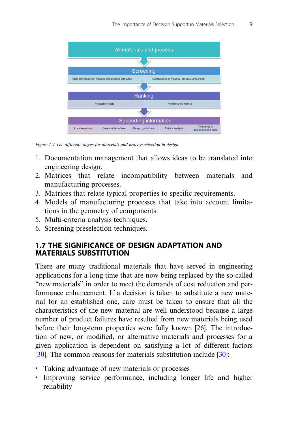<span id="page-8-0"></span>

Figure 1.4 The different stages for materials and process selection in design.

- 1. Documentation management that allows ideas to be translated into engineering design.
- 2. Matrices that relate incompatibility between materials and manufacturing processes.
- 3. Matrices that relate typical properties to specific requirements.
- 4. Models of manufacturing processes that take into account limitations in the geometry of components.
- 5. Multi-criteria analysis techniques.
- 6. Screening preselection techniques.

#### 1.7 THE SIGNIFICANCE OF DESIGN ADAPTATION AND MATERIALS SUBSTITUTION

There are many traditional materials that have served in engineering applications for a long time that are now being replaced by the so-called "new materials" in order to meet the demands of cost reduction and performance enhancement. If a decision is taken to substitute a new material for an established one, care must be taken to ensure that all the characteristics of the new material are well understood because a large number of product failures have resulted from new materials being used before their long-term properties were fully known [\[26\].](#page-14-0) The introduction of new, or modified, or alternative materials and processes for a given application is dependent on satisfying a lot of different factors [\[30\]](#page-14-0). The common reasons for materials substitution include [\[30\]](#page-14-0):

- Taking advantage of new materials or processes
- Improving service performance, including longer life and higher reliability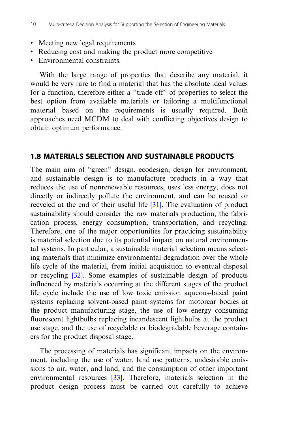- Meeting new legal requirements
- Reducing cost and making the product more competitive
- Environmental constraints.

With the large range of properties that describe any material, it would be very rare to find a material that has the absolute ideal values for a function, therefore either a "trade-off" of properties to select the best option from available materials or tailoring a multifunctional material based on the requirements is usually required. Both approaches need MCDM to deal with conflicting objectives design to obtain optimum performance.

#### 1.8 MATERIALS SELECTION AND SUSTAINABLE PRODUCTS

The main aim of "green" design, ecodesign, design for environment, and sustainable design is to manufacture products in a way that reduces the use of nonrenewable resources, uses less energy, does not directly or indirectly pollute the environment, and can be reused or recycled at the end of their useful life [\[31\].](#page-14-0) The evaluation of product sustainability should consider the raw materials production, the fabrication process, energy consumption, transportation, and recycling. Therefore, one of the major opportunities for practicing sustainability is material selection due to its potential impact on natural environmental systems. In particular, a sustainable material selection means selecting materials that minimize environmental degradation over the whole life cycle of the material, from initial acquisition to eventual disposal or recycling [\[32\]](#page-14-0). Some examples of sustainable design of products influenced by materials occurring at the different stages of the product life cycle include the use of low toxic emission aqueous-based paint systems replacing solvent-based paint systems for motorcar bodies at the product manufacturing stage, the use of low energy consuming fluorescent lightbulbs replacing incandescent lightbulbs at the product use stage, and the use of recyclable or biodegradable beverage containers for the product disposal stage.

The processing of materials has significant impacts on the environment, including the use of water, land use patterns, undesirable emissions to air, water, and land, and the consumption of other important environmental resources [\[33\].](#page-14-0) Therefore, materials selection in the product design process must be carried out carefully to achieve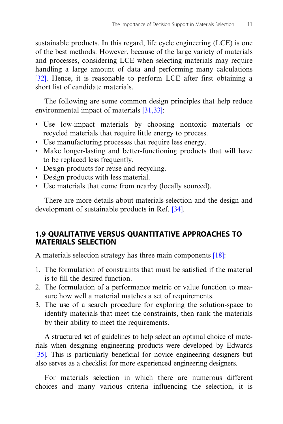sustainable products. In this regard, life cycle engineering (LCE) is one of the best methods. However, because of the large variety of materials and processes, considering LCE when selecting materials may require handling a large amount of data and performing many calculations [\[32\].](#page-14-0) Hence, it is reasonable to perform LCE after first obtaining a short list of candidate materials.

The following are some common design principles that help reduce environmental impact of materials [\[31,33\]](#page-14-0):

- Use low-impact materials by choosing nontoxic materials or recycled materials that require little energy to process.
- Use manufacturing processes that require less energy.
- Make longer-lasting and better-functioning products that will have to be replaced less frequently.
- Design products for reuse and recycling.
- Design products with less material.
- Use materials that come from nearby (locally sourced).

There are more details about materials selection and the design and development of sustainable products in Ref. [\[34\].](#page-14-0)

#### 1.9 QUALITATIVE VERSUS QUANTITATIVE APPROACHES TO MATERIALS SELECTION

A materials selection strategy has three main components [\[18\]:](#page-13-0)

- 1. The formulation of constraints that must be satisfied if the material is to fill the desired function.
- 2. The formulation of a performance metric or value function to measure how well a material matches a set of requirements.
- 3. The use of a search procedure for exploring the solution-space to identify materials that meet the constraints, then rank the materials by their ability to meet the requirements.

A structured set of guidelines to help select an optimal choice of materials when designing engineering products were developed by Edwards [\[35\].](#page-14-0) This is particularly beneficial for novice engineering designers but also serves as a checklist for more experienced engineering designers.

For materials selection in which there are numerous different choices and many various criteria influencing the selection, it is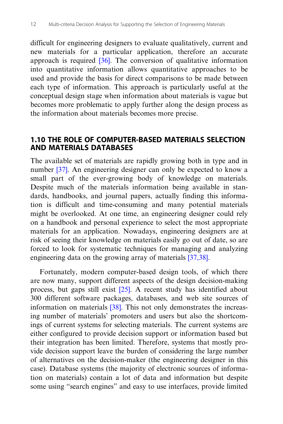difficult for engineering designers to evaluate qualitatively, current and new materials for a particular application, therefore an accurate approach is required [\[36\].](#page-14-0) The conversion of qualitative information into quantitative information allows quantitative approaches to be used and provide the basis for direct comparisons to be made between each type of information. This approach is particularly useful at the conceptual design stage when information about materials is vague but becomes more problematic to apply further along the design process as the information about materials becomes more precise.

#### 1.10 THE ROLE OF COMPUTER-BASED MATERIALS SELECTION AND MATERIALS DATABASES

The available set of materials are rapidly growing both in type and in number [\[37\].](#page-14-0) An engineering designer can only be expected to know a small part of the ever-growing body of knowledge on materials. Despite much of the materials information being available in standards, handbooks, and journal papers, actually finding this information is difficult and time-consuming and many potential materials might be overlooked. At one time, an engineering designer could rely on a handbook and personal experience to select the most appropriate materials for an application. Nowadays, engineering designers are at risk of seeing their knowledge on materials easily go out of date, so are forced to look for systematic techniques for managing and analyzing engineering data on the growing array of materials [\[37,38\]](#page-14-0).

Fortunately, modern computer-based design tools, of which there are now many, support different aspects of the design decision-making process, but gaps still exist [\[25\].](#page-14-0) A recent study has identified about 300 different software packages, databases, and web site sources of information on materials [\[38\].](#page-14-0) This not only demonstrates the increasing number of materials' promoters and users but also the shortcomings of current systems for selecting materials. The current systems are either configured to provide decision support or information based but their integration has been limited. Therefore, systems that mostly provide decision support leave the burden of considering the large number of alternatives on the decision-maker (the engineering designer in this case). Database systems (the majority of electronic sources of information on materials) contain a lot of data and information but despite some using "search engines" and easy to use interfaces, provide limited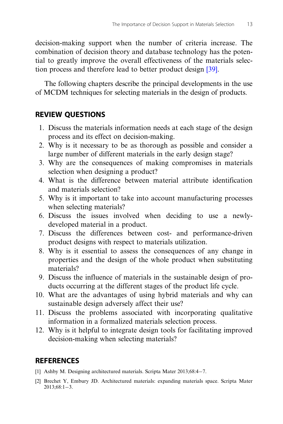<span id="page-12-0"></span>decision-making support when the number of criteria increase. The combination of decision theory and database technology has the potential to greatly improve the overall effectiveness of the materials selection process and therefore lead to better product design [\[39\].](#page-14-0)

The following chapters describe the principal developments in the use of MCDM techniques for selecting materials in the design of products.

#### REVIEW QUESTIONS

- 1. Discuss the materials information needs at each stage of the design process and its effect on decision-making.
- 2. Why is it necessary to be as thorough as possible and consider a large number of different materials in the early design stage?
- 3. Why are the consequences of making compromises in materials selection when designing a product?
- 4. What is the difference between material attribute identification and materials selection?
- 5. Why is it important to take into account manufacturing processes when selecting materials?
- 6. Discuss the issues involved when deciding to use a newlydeveloped material in a product.
- 7. Discuss the differences between cost- and performance-driven product designs with respect to materials utilization.
- 8. Why is it essential to assess the consequences of any change in properties and the design of the whole product when substituting materials?
- 9. Discuss the influence of materials in the sustainable design of products occurring at the different stages of the product life cycle.
- 10. What are the advantages of using hybrid materials and why can sustainable design adversely affect their use?
- 11. Discuss the problems associated with incorporating qualitative information in a formalized materials selection process.
- 12. Why is it helpful to integrate design tools for facilitating improved decision-making when selecting materials?

### REFERENCES

- [1] Ashby M. Designing architectured materials. Scripta Mater 2013;68:4-7.
- [2] Brechet Y, Embury JD. Architectured materials: expanding materials space. Scripta Mater  $2013:68:1-3.$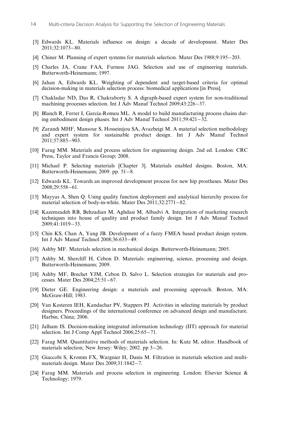- <span id="page-13-0"></span>[3] Edwards KL. Materials influence on design: a decade of development. Mater Des 2011;32:1073-80.
- [4] Chiner M. Planning of expert systems for materials selection. Mater Des 1988;9:195–203.
- [5] Charles JA, Crane FAA, Furness JAG. Selection and use of engineering materials. Butterworth-Heinemann; 1997.
- [6] Jahan A, Edwards KL. Weighting of dependent and target-based criteria for optimal decision-making in materials selection process: biomedical applications [in Press].
- [7] Chakladar ND, Das R, Chakraborty S. A digraph-based expert system for non-traditional machining processes selection. Int J Adv Manuf Technol 2009;43:226-37.
- [8] Blanch R, Ferrer I, Garcia-Romeu ML. A model to build manufacturing process chains during embodiment design phases. Int J Adv Manuf Technol 2011;59:421-32.
- [9] Zarandi MHF, Mansour S, Hosseinijou SA, Avazbeigi M. A material selection methodology and expert system for sustainable product design. Int J Adv Manuf Technol 2011;57:885-903.
- [10] Farag MM. Materials and process selection for engineering design. 2nd ed. London: CRC Press, Taylor and Francis Group; 2008.
- [11] Michael P. Selecting materials [Chapter 3]. Materials enabled designs. Boston, MA: Butterworth-Heinemann; 2009. pp.  $51-8$ .
- [12] Edwards KL. Towards an improved development process for new hip prostheses. Mater Des  $2008;29:558-61.$
- [13] Mayyas A, Shen Q. Using quality function deployment and analytical hierarchy process for material selection of body-in-white. Mater Des 2011;32:2771-82.
- [14] Kazemzadeh RB, Behzadian M, Aghdasi M, Albadvi A. Integration of marketing research techniques into house of quality and product family design. Int J Adv Manuf Technol 2009;41:1019-33.
- [15] Chin KS, Chan A, Yang JB. Development of a fuzzy FMEA based product design system. Int J Adv Manuf Technol 2008;36:633-49.
- [16] Ashby MF. Materials selection in mechanical design. Butterworth-Heinemann; 2005.
- [17] Ashby M, Shercliff H, Cebon D. Materials: engineering, science, processing and design. Butterworth-Heinemann; 2009.
- [18] Ashby MF, Brechet YJM, Cebon D, Salvo L. Selection strategies for materials and processes. Mater Des 2004;25:51-67.
- [19] Dieter GE. Engineering design: a materials and processing approach. Boston, MA: McGraw-Hill; 1983.
- [20] Van Kesteren IEH, Kandachar PV, Stappers PJ. Activities in selecting materials by product designers. Proceedings of the international conference on advanced design and manufacture. Harbin, China; 2006.
- [21] Jalham IS. Decision-making integrated information technology (IIT) approach for material selection. Int J Comp Appl Technol 2006;25:65-71.
- [22] Farag MM. Quantitative methods of materials selection. In: Kutz M, editor. Handbook of materials selection; New Jersey: Wiley; 2002. pp  $3-26$ .
- [23] Giaccobi S, Kromm FX, Wargnier H, Danis M. Filtration in materials selection and multimaterials design. Mater Des 2009;31:1842-7.
- [24] Farag MM. Materials and process selection in engineering. London: Elsevier Science & Technology; 1979.